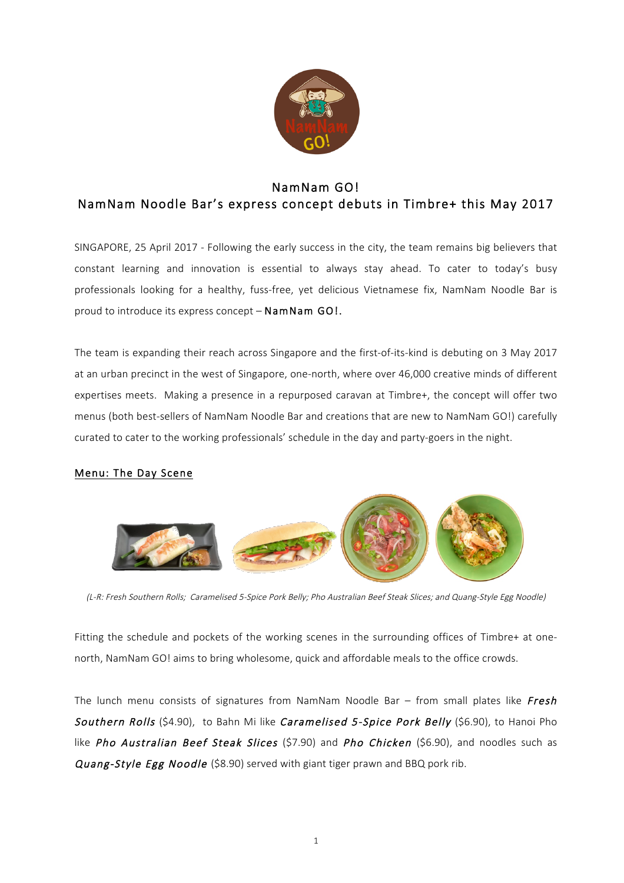

# NamNam GO! NamNam Noodle Bar's express concept debuts in Timbre+ this May 2017

SINGAPORE, 25 April 2017 - Following the early success in the city, the team remains big believers that constant learning and innovation is essential to always stay ahead. To cater to today's busy professionals looking for a healthy, fuss-free, yet delicious Vietnamese fix, NamNam Noodle Bar is proud to introduce its express concept – NamNam GO!.

The team is expanding their reach across Singapore and the first-of-its-kind is debuting on 3 May 2017 at an urban precinct in the west of Singapore, one-north, where over 46,000 creative minds of different expertises meets. Making a presence in a repurposed caravan at Timbre+, the concept will offer two menus (both best-sellers of NamNam Noodle Bar and creations that are new to NamNam GO!) carefully curated to cater to the working professionals' schedule in the day and party-goers in the night.

# Menu: The Day Scene



(L-R: Fresh Southern Rolls; Caramelised 5-Spice Pork Belly; Pho Australian Beef Steak Slices; and Quang-Style Egg Noodle)

Fitting the schedule and pockets of the working scenes in the surrounding offices of Timbre+ at onenorth, NamNam GO! aims to bring wholesome, quick and affordable meals to the office crowds.

The lunch menu consists of signatures from NamNam Noodle Bar  $-$  from small plates like Fresh Southern Rolls (\$4.90), to Bahn Mi like Caramelised 5-Spice Pork Belly (\$6.90), to Hanoi Pho like Pho Australian Beef Steak Slices (\$7.90) and Pho Chicken (\$6.90), and noodles such as Quang-Style Egg Noodle (\$8.90) served with giant tiger prawn and BBQ pork rib.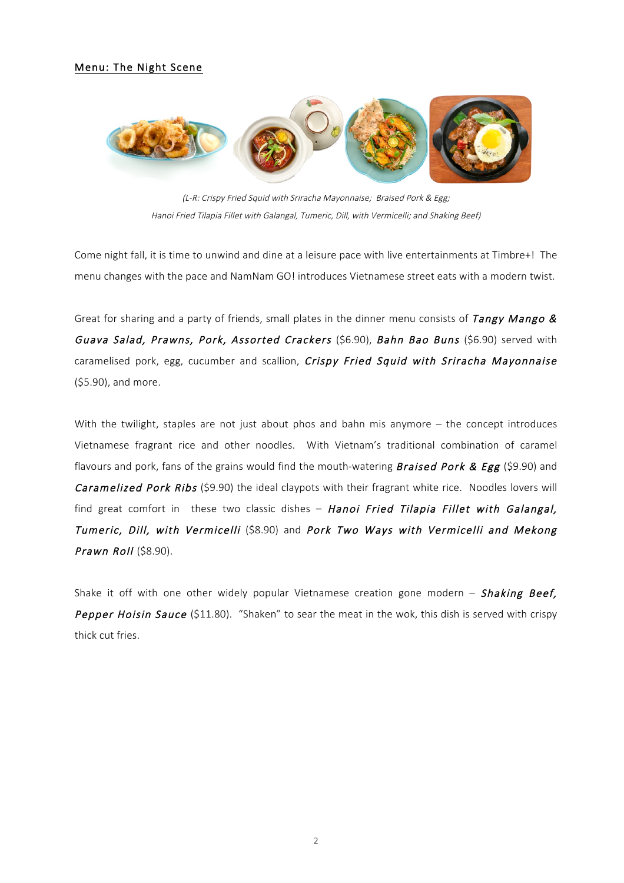#### Menu: The Night Scene



(L-R: Crispy Fried Squid with Sriracha Mayonnaise; Braised Pork & Egg; Hanoi Fried Tilapia Fillet with Galangal, Tumeric, Dill, with Vermicelli; and Shaking Beef)

Come night fall, it is time to unwind and dine at a leisure pace with live entertainments at Timbre+! The menu changes with the pace and NamNam GO! introduces Vietnamese street eats with a modern twist.

Great for sharing and a party of friends, small plates in the dinner menu consists of Tangy Mango & Guava Salad, Prawns, Pork, Assorted Crackers (\$6.90), Bahn Bao Buns (\$6.90) served with caramelised pork, egg, cucumber and scallion, Crispy Fried Squid with Sriracha Mayonnaise (\$5.90), and more.

With the twilight, staples are not just about phos and bahn mis anymore – the concept introduces Vietnamese fragrant rice and other noodles. With Vietnam's traditional combination of caramel flavours and pork, fans of the grains would find the mouth-watering **Braised Pork & Egg** (\$9.90) and Caramelized Pork Ribs (\$9.90) the ideal claypots with their fragrant white rice. Noodles lovers will find great comfort in these two classic dishes  $-$  Hanoi Fried Tilapia Fillet with Galangal, Tumeric, Dill, with Vermicelli (\$8.90) and Pork Two Ways with Vermicelli and Mekong Prawn Roll (\$8.90).

Shake it off with one other widely popular Vietnamese creation gone modern  $-$  Shaking Beef, Pepper Hoisin Sauce (\$11.80). "Shaken" to sear the meat in the wok, this dish is served with crispy thick cut fries.